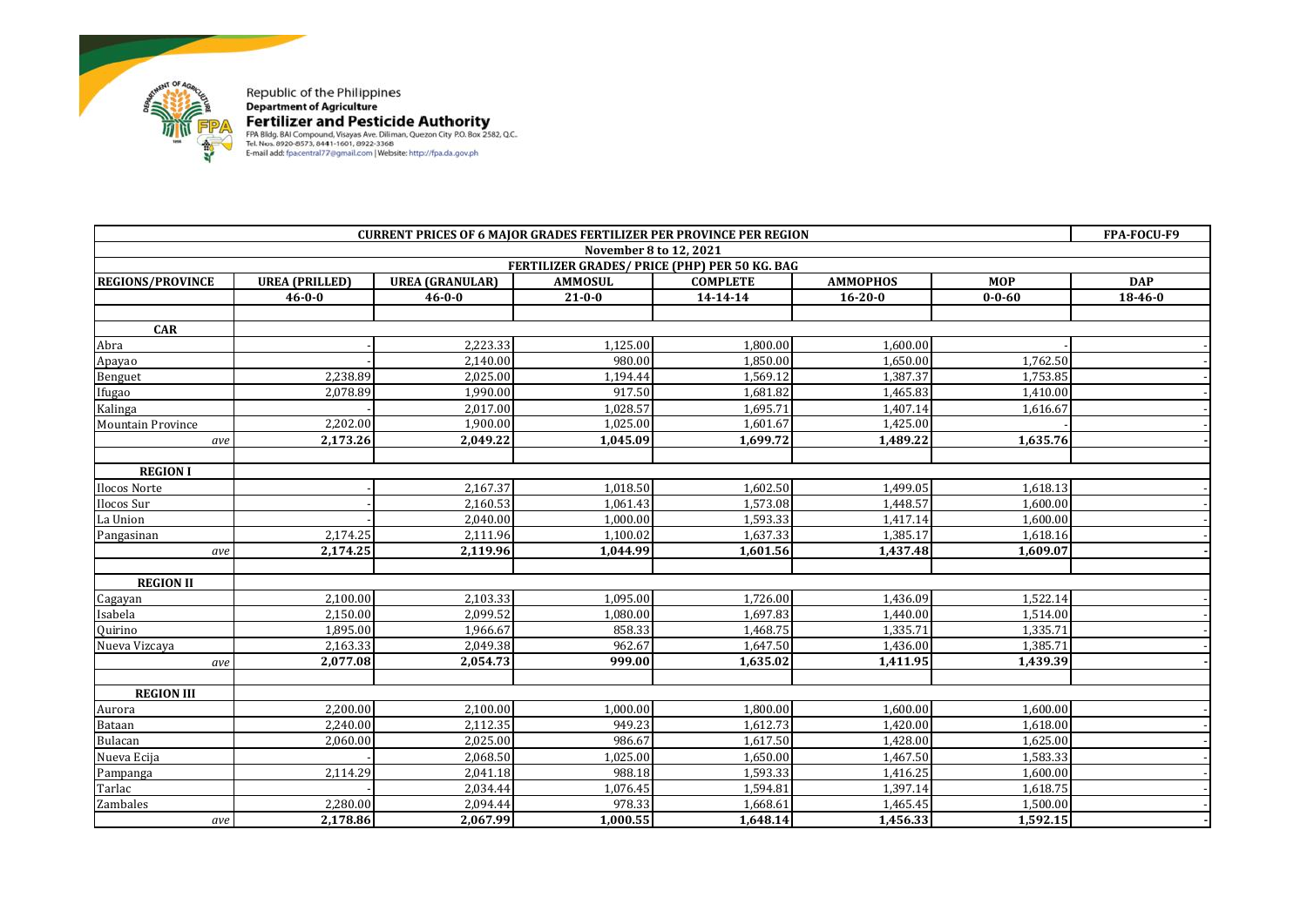

| <b>CURRENT PRICES OF 6 MAJOR GRADES FERTILIZER PER PROVINCE PER REGION</b> |                       |                        |                |                                               |                 |              | FPA-FOCU-F9   |
|----------------------------------------------------------------------------|-----------------------|------------------------|----------------|-----------------------------------------------|-----------------|--------------|---------------|
| November 8 to 12, 2021                                                     |                       |                        |                |                                               |                 |              |               |
|                                                                            |                       |                        |                | FERTILIZER GRADES/ PRICE (PHP) PER 50 KG. BAG |                 |              |               |
| <b>REGIONS/PROVINCE</b>                                                    | <b>UREA (PRILLED)</b> | <b>UREA (GRANULAR)</b> | <b>AMMOSUL</b> | <b>COMPLETE</b>                               | <b>AMMOPHOS</b> | <b>MOP</b>   | <b>DAP</b>    |
|                                                                            | $46 - 0 - 0$          | $46 - 0 - 0$           | $21 - 0 - 0$   | 14-14-14                                      | $16 - 20 - 0$   | $0 - 0 - 60$ | $18 - 46 - 0$ |
|                                                                            |                       |                        |                |                                               |                 |              |               |
| <b>CAR</b>                                                                 |                       |                        |                |                                               |                 |              |               |
| Abra                                                                       |                       | 2,223.33               | 1,125.00       | 1,800.00                                      | 1,600.00        |              |               |
| Apayao                                                                     |                       | 2,140.00               | 980.00         | 1,850.00                                      | 1,650.00        | 1,762.50     |               |
| Benguet                                                                    | 2,238.89              | 2,025.00               | 1,194.44       | 1,569.12                                      | 1,387.37        | 1,753.85     |               |
| Ifugao                                                                     | 2.078.89              | 1,990.00               | 917.50         | 1,681.82                                      | 1,465.83        | 1.410.00     |               |
| Kalinga                                                                    |                       | 2,017.00               | 1,028.57       | 1,695.71                                      | 1,407.14        | 1,616.67     |               |
| <b>Mountain Province</b>                                                   | 2,202.00              | 1,900.00               | 1,025.00       | 1,601.67                                      | 1,425.00        |              |               |
| ave                                                                        | 2,173.26              | 2,049.22               | 1,045.09       | 1,699.72                                      | 1,489.22        | 1,635.76     |               |
|                                                                            |                       |                        |                |                                               |                 |              |               |
| <b>REGION I</b>                                                            |                       |                        |                |                                               |                 |              |               |
| Ilocos Norte                                                               |                       | 2.167.37               | 1.018.50       | 1.602.50                                      | 1.499.05        | 1.618.13     |               |
| Ilocos Sur                                                                 |                       | 2,160.53               | 1,061.43       | 1,573.08                                      | 1,448.57        | 1,600.00     |               |
| La Union                                                                   |                       | 2.040.00               | 1.000.00       | 1,593.33                                      | 1,417.14        | 1.600.00     |               |
| Pangasinan                                                                 | 2,174.25              | 2,111.96               | 1,100.02       | 1,637.33                                      | 1,385.17        | 1,618.16     |               |
| ave                                                                        | 2,174.25              | 2,119.96               | 1,044.99       | 1,601.56                                      | 1,437.48        | 1,609.07     |               |
|                                                                            |                       |                        |                |                                               |                 |              |               |
| <b>REGION II</b>                                                           |                       |                        |                |                                               |                 |              |               |
| Cagayan                                                                    | 2.100.00              | 2.103.33               | 1.095.00       | 1.726.00                                      | 1.436.09        | 1.522.14     |               |
| Isabela                                                                    | 2,150.00              | 2.099.52               | 1.080.00       | 1.697.83                                      | 1,440.00        | 1,514.00     |               |
| <b>Quirino</b>                                                             | 1,895.00              | 1,966.67               | 858.33         | 1,468.75                                      | 1,335.71        | 1,335.71     |               |
| Nueva Vizcaya                                                              | 2,163.33              | 2,049.38               | 962.67         | 1,647.50                                      | 1,436.00        | 1,385.71     |               |
| ave                                                                        | 2,077.08              | 2,054.73               | 999.00         | 1,635.02                                      | 1,411.95        | 1,439.39     |               |
|                                                                            |                       |                        |                |                                               |                 |              |               |
| <b>REGION III</b>                                                          |                       |                        |                |                                               |                 |              |               |
| Aurora                                                                     | 2,200.00              | 2,100.00               | 1,000.00       | 1,800.00                                      | 1,600.00        | 1,600.00     |               |
| Bataan                                                                     | 2,240.00              | 2,112.35               | 949.23         | 1,612.73                                      | 1,420.00        | 1,618.00     |               |
| Bulacan                                                                    | 2,060.00              | 2,025.00               | 986.67         | 1.617.50                                      | 1,428.00        | 1,625.00     |               |
| Nueva Ecija                                                                |                       | 2,068.50               | 1,025.00       | 1,650.00                                      | 1,467.50        | 1,583.33     |               |
| Pampanga                                                                   | 2,114.29              | 2,041.18               | 988.18         | 1.593.33                                      | 1,416.25        | 1.600.00     |               |
| Tarlac                                                                     |                       | 2,034.44               | 1,076.45       | 1,594.81                                      | 1,397.14        | 1,618.75     |               |
| Zambales                                                                   | 2,280.00              | 2,094.44               | 978.33         | 1,668.61                                      | 1,465.45        | 1,500.00     |               |
| ave                                                                        | 2,178.86              | 2,067.99               | 1,000.55       | 1,648.14                                      | 1,456.33        | 1,592.15     |               |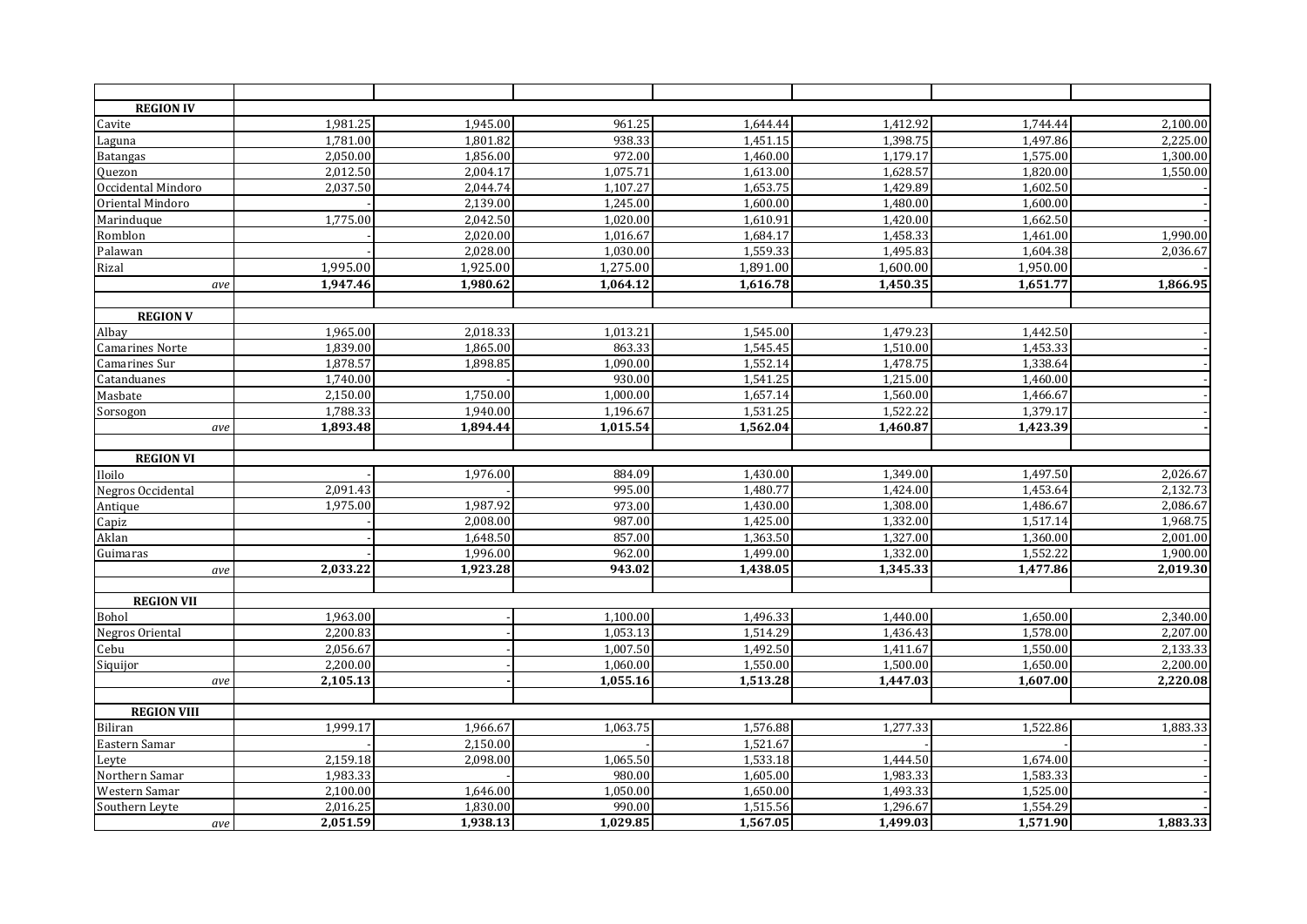| <b>REGION IV</b>       |          |          |          |          |          |          |          |
|------------------------|----------|----------|----------|----------|----------|----------|----------|
| Cavite                 | 1,981.25 | 1,945.00 | 961.25   | 1,644.44 | 1,412.92 | 1,744.44 | 2,100.00 |
| Laguna                 | 1,781.00 | 1,801.82 | 938.33   | 1,451.15 | 1,398.75 | 1,497.86 | 2,225.00 |
| <b>Batangas</b>        | 2,050.00 | 1,856.00 | 972.00   | 1,460.00 | 1,179.17 | 1,575.00 | 1,300.00 |
| Quezon                 | 2,012.50 | 2,004.17 | 1,075.71 | 1,613.00 | 1,628.57 | 1,820.00 | 1,550.00 |
| Occidental Mindoro     | 2,037.50 | 2,044.74 | 1,107.27 | 1,653.75 | 1,429.89 | 1,602.50 |          |
| Oriental Mindoro       |          | 2,139.00 | 1,245.00 | 1,600.00 | 1,480.00 | 1,600.00 |          |
| Marinduque             | 1,775.00 | 2,042.50 | 1,020.00 | 1,610.91 | 1,420.00 | 1,662.50 |          |
| Romblon                |          | 2,020.00 | 1,016.67 | 1,684.17 | 1,458.33 | 1,461.00 | 1,990.00 |
| Palawan                |          | 2,028.00 | 1,030.00 | 1,559.33 | 1,495.83 | 1,604.38 | 2,036.67 |
| Rizal                  | 1,995.00 | 1,925.00 | 1,275.00 | 1,891.00 | 1,600.00 | 1,950.00 |          |
| ave                    | 1,947.46 | 1,980.62 | 1,064.12 | 1,616.78 | 1,450.35 | 1,651.77 | 1,866.95 |
| <b>REGION V</b>        |          |          |          |          |          |          |          |
| Albay                  | 1,965.00 | 2,018.33 | 1,013.21 | 1,545.00 | 1,479.23 | 1,442.50 |          |
| <b>Camarines Norte</b> | 1,839.00 | 1,865.00 | 863.33   | 1,545.45 | 1,510.00 | 1,453.33 |          |
| Camarines Sur          | 1,878.57 | 1,898.85 | 1,090.00 | 1,552.14 | 1,478.75 | 1,338.64 |          |
| Catanduanes            | 1,740.00 |          | 930.00   | 1,541.25 | 1,215.00 | 1,460.00 |          |
| Masbate                | 2,150.00 | 1,750.00 | 1,000.00 | 1,657.14 | 1,560.00 | 1,466.67 |          |
| Sorsogon               | 1,788.33 | 1,940.00 | 1,196.67 | 1,531.25 | 1,522.22 | 1,379.17 |          |
| ave                    | 1,893.48 | 1,894.44 | 1,015.54 | 1,562.04 | 1,460.87 | 1,423.39 |          |
|                        |          |          |          |          |          |          |          |
| <b>REGION VI</b>       |          |          |          |          |          |          |          |
| Iloilo                 |          | 1,976.00 | 884.09   | 1,430.00 | 1,349.00 | 1,497.50 | 2,026.67 |
| Negros Occidental      | 2,091.43 |          | 995.00   | 1,480.77 | 1,424.00 | 1,453.64 | 2,132.73 |
| Antique                | 1,975.00 | 1,987.92 | 973.00   | 1,430.00 | 1,308.00 | 1,486.67 | 2,086.67 |
| Capiz                  |          | 2,008.00 | 987.00   | 1,425.00 | 1,332.00 | 1,517.14 | 1,968.75 |
| Aklan                  |          | 1,648.50 | 857.00   | 1,363.50 | 1,327.00 | 1,360.00 | 2,001.00 |
| Guimaras               |          | 1,996.00 | 962.00   | 1,499.00 | 1,332.00 | 1,552.22 | 1,900.00 |
| ave                    | 2,033.22 | 1,923.28 | 943.02   | 1,438.05 | 1,345.33 | 1,477.86 | 2,019.30 |
| <b>REGION VII</b>      |          |          |          |          |          |          |          |
| Bohol                  | 1,963.00 |          | 1,100.00 | 1,496.33 | 1,440.00 | 1,650.00 | 2,340.00 |
| <b>Negros Oriental</b> | 2,200.83 |          | 1,053.13 | 1,514.29 | 1,436.43 | 1,578.00 | 2,207.00 |
| Cebu                   | 2,056.67 |          | 1,007.50 | 1,492.50 | 1,411.67 | 1,550.00 | 2,133.33 |
| Siquijor               | 2,200.00 |          | 1,060.00 | 1,550.00 | 1,500.00 | 1,650.00 | 2,200.00 |
| ave                    | 2,105.13 |          | 1,055.16 | 1,513.28 | 1,447.03 | 1,607.00 | 2,220.08 |
|                        |          |          |          |          |          |          |          |
| <b>REGION VIII</b>     |          |          |          |          |          |          |          |
| Biliran                | 1,999.17 | 1,966.67 | 1,063.75 | 1,576.88 | 1,277.33 | 1,522.86 | 1,883.33 |
| Eastern Samar          |          | 2,150.00 |          | 1,521.67 |          |          |          |
| Leyte                  | 2,159.18 | 2,098.00 | 1,065.50 | 1,533.18 | 1,444.50 | 1,674.00 |          |
| Northern Samar         | 1,983.33 |          | 980.00   | 1,605.00 | 1,983.33 | 1,583.33 |          |
| Western Samar          | 2,100.00 | 1,646.00 | 1,050.00 | 1,650.00 | 1,493.33 | 1,525.00 |          |
| Southern Leyte         | 2,016.25 | 1,830.00 | 990.00   | 1,515.56 | 1,296.67 | 1,554.29 |          |
| ave                    | 2,051.59 | 1,938.13 | 1,029.85 | 1,567.05 | 1,499.03 | 1,571.90 | 1,883.33 |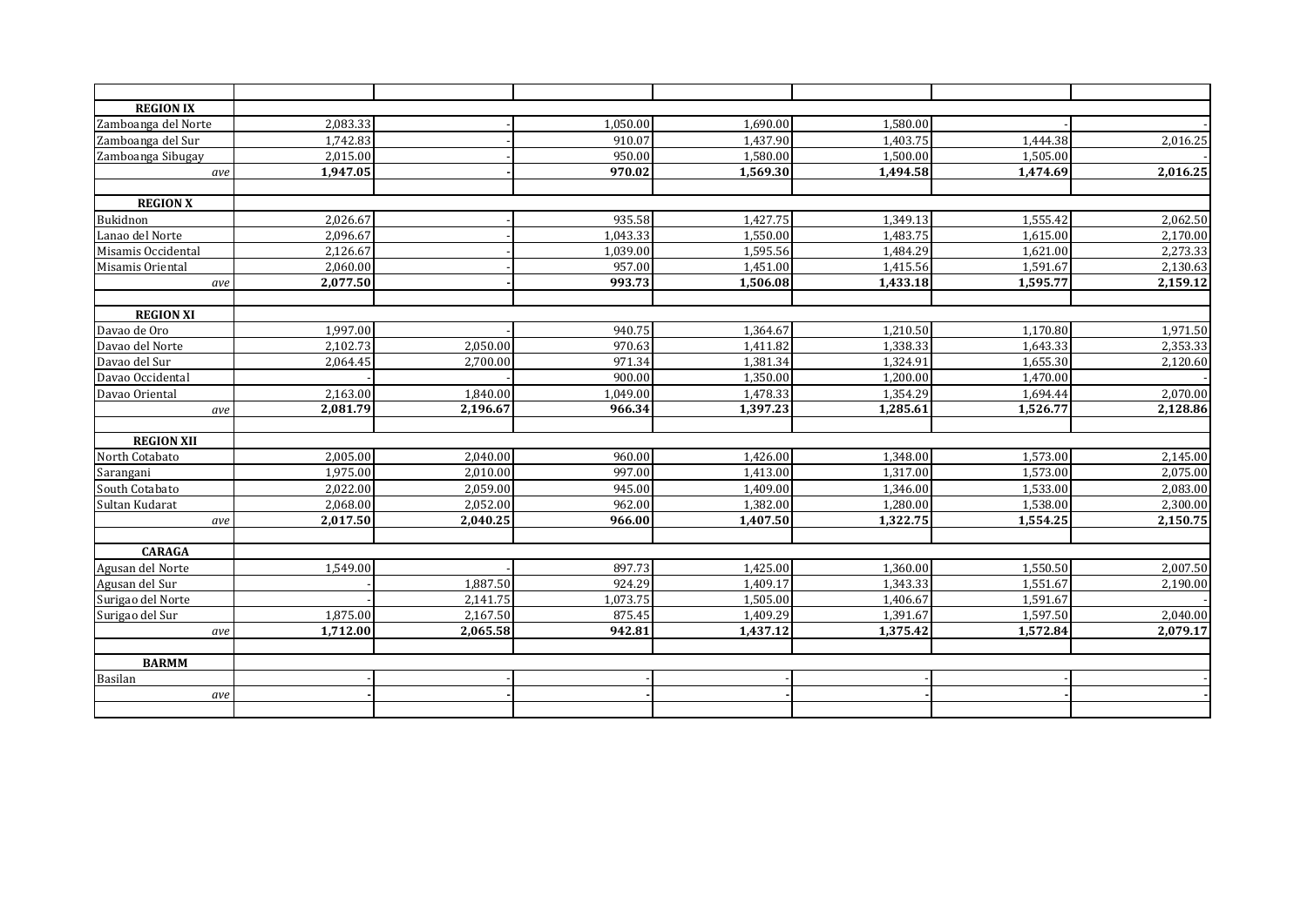| <b>REGION IX</b>    |          |          |          |                       |          |          |          |
|---------------------|----------|----------|----------|-----------------------|----------|----------|----------|
|                     | 2,083.33 |          | 1,050.00 | 1,690.00              | 1,580.00 |          |          |
| Zamboanga del Norte | 1,742.83 |          | 910.07   | 1.437.90              | 1.403.75 | 1,444.38 | 2,016.25 |
| Zamboanga del Sur   | 2,015.00 |          | 950.00   | 1,580.00              | 1,500.00 | 1,505.00 |          |
| Zamboanga Sibugay   | 1,947.05 |          | 970.02   | 1,569.30              | 1,494.58 | 1,474.69 | 2,016.25 |
| ave                 |          |          |          |                       |          |          |          |
| <b>REGION X</b>     |          |          |          |                       |          |          |          |
| Bukidnon            | 2,026.67 |          | 935.58   | 1.427.75              | 1.349.13 | 1.555.42 | 2,062.50 |
| Lanao del Norte     | 2,096.67 |          | 1,043.33 | 1,550.00              | 1,483.75 | 1,615.00 | 2,170.00 |
| Misamis Occidental  | 2,126.67 |          | 1,039.00 | 1,595.56              | 1,484.29 | 1,621.00 | 2,273.33 |
| Misamis Oriental    | 2,060.00 |          | 957.00   | 1,451.00              | 1,415.56 | 1,591.67 | 2,130.63 |
| ave                 | 2,077.50 |          | 993.73   | 1,506.08              | 1,433.18 | 1,595.77 | 2,159.12 |
|                     |          |          |          |                       |          |          |          |
| <b>REGION XI</b>    |          |          |          |                       |          |          |          |
| Davao de Oro        | 1,997.00 |          | 940.75   | 1,364.67              | 1,210.50 | 1,170.80 | 1,971.50 |
| Davao del Norte     | 2,102.73 | 2,050.00 | 970.63   | 1,411.82              | 1,338.33 | 1,643.33 | 2,353.33 |
| Davao del Sur       | 2,064.45 | 2.700.00 | 971.34   | 1,381.34              | 1.324.91 | 1,655.30 | 2,120.60 |
| Davao Occidental    |          |          | 900.00   | 1,350.00              | 1,200.00 | 1,470.00 |          |
| Davao Oriental      | 2,163.00 | 1,840.00 | 1,049.00 | 1,478.33              | 1,354.29 | 1,694.44 | 2,070.00 |
| ave                 | 2,081.79 | 2,196.67 | 966.34   | 1,397.23              | 1,285.61 | 1,526.77 | 2,128.86 |
| <b>REGION XII</b>   |          |          |          |                       |          |          |          |
| North Cotabato      | 2,005.00 | 2,040.00 | 960.00   | 1,426.00              | 1,348.00 | 1,573.00 | 2,145.00 |
| Sarangani           | 1,975.00 | 2.010.00 | 997.00   | 1,413.00              | 1,317.00 | 1,573.00 | 2,075.00 |
| South Cotabato      | 2,022.00 | 2,059.00 | 945.00   | 1,409.00              | 1,346.00 | 1,533.00 | 2,083.00 |
| Sultan Kudarat      | 2,068.00 | 2,052.00 | 962.00   | 1,382.00              | 1,280.00 | 1,538.00 | 2,300.00 |
| ave                 | 2,017.50 | 2,040.25 | 966.00   | 1,407.50              | 1,322.75 | 1,554.25 | 2,150.75 |
|                     |          |          |          |                       |          |          |          |
| <b>CARAGA</b>       |          |          |          |                       |          |          |          |
| Agusan del Norte    | 1,549.00 |          | 897.73   | 1,425.00              | 1.360.00 | 1,550.50 | 2,007.50 |
| Agusan del Sur      |          | 1,887.50 | 924.29   | 1,409.17              | 1,343.33 | 1,551.67 | 2,190.00 |
| Surigao del Norte   |          | 2.141.75 | 1,073.75 | 1,505.00              | 1,406.67 | 1.591.67 |          |
| Surigao del Sur     | 1,875.00 | 2,167.50 | 875.45   | 1,409.29              | 1,391.67 | 1,597.50 | 2,040.00 |
| ave                 | 1,712.00 | 2,065.58 | 942.81   | $1,437.\overline{12}$ | 1,375.42 | 1,572.84 | 2,079.17 |
| <b>BARMM</b>        |          |          |          |                       |          |          |          |
| Basilan             |          |          |          |                       |          |          |          |
| ave                 |          |          |          |                       |          |          |          |
|                     |          |          |          |                       |          |          |          |
|                     |          |          |          |                       |          |          |          |